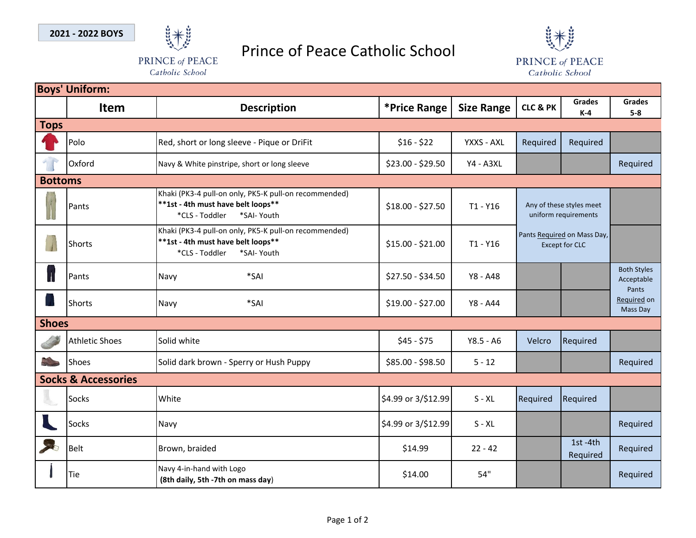

## Prince of Peace Catholic School



Catholic School

PRINCE of PEACE Catholic School

|                | <b>Boys' Uniform:</b>          |                                                                                                                              |                     |                   |                                                      |                        |                                           |  |  |  |  |
|----------------|--------------------------------|------------------------------------------------------------------------------------------------------------------------------|---------------------|-------------------|------------------------------------------------------|------------------------|-------------------------------------------|--|--|--|--|
|                | <b>Item</b>                    | <b>Description</b>                                                                                                           | *Price Range        | <b>Size Range</b> | <b>CLC &amp; PK</b>                                  | <b>Grades</b><br>$K-4$ | <b>Grades</b><br>$5-8$                    |  |  |  |  |
| <b>Tops</b>    |                                |                                                                                                                              |                     |                   |                                                      |                        |                                           |  |  |  |  |
|                | Polo                           | Red, short or long sleeve - Pique or DriFit                                                                                  | $$16 - $22$         | YXXS - AXL        | Required                                             | Required               |                                           |  |  |  |  |
|                | Oxford                         | Navy & White pinstripe, short or long sleeve                                                                                 | \$23.00 - \$29.50   | <b>Y4 - A3XL</b>  |                                                      |                        | Required                                  |  |  |  |  |
| <b>Bottoms</b> |                                |                                                                                                                              |                     |                   |                                                      |                        |                                           |  |  |  |  |
| <b>A</b>       | Pants                          | Khaki (PK3-4 pull-on only, PK5-K pull-on recommended)<br>**1st - 4th must have belt loops**<br>*CLS - Toddler<br>*SAI- Youth | \$18.00 - \$27.50   | $T1 - Y16$        | Any of these styles meet<br>uniform requirements     |                        |                                           |  |  |  |  |
| $\overline{1}$ | <b>Shorts</b>                  | Khaki (PK3-4 pull-on only, PK5-K pull-on recommended)<br>**1st - 4th must have belt loops**<br>*CLS - Toddler<br>*SAI- Youth | $$15.00 - $21.00$   | $T1 - Y16$        | Pants Required on Mass Day,<br><b>Except for CLC</b> |                        |                                           |  |  |  |  |
| $\mathbf{I}$   | Pants                          | *SAI<br>Navy                                                                                                                 | \$27.50 - \$34.50   | Y8 - A48          |                                                      |                        | <b>Both Styles</b><br>Acceptable<br>Pants |  |  |  |  |
|                | <b>Shorts</b>                  | *SAI<br>Navy                                                                                                                 | \$19.00 - \$27.00   | Y8 - A44          |                                                      |                        | Required on<br>Mass Day                   |  |  |  |  |
| <b>Shoes</b>   |                                |                                                                                                                              |                     |                   |                                                      |                        |                                           |  |  |  |  |
|                | <b>Athletic Shoes</b>          | Solid white                                                                                                                  | $$45 - $75$         | $Y8.5 - A6$       | Velcro                                               | Required               |                                           |  |  |  |  |
|                | <b>Shoes</b>                   | Solid dark brown - Sperry or Hush Puppy                                                                                      | \$85.00 - \$98.50   | $5 - 12$          |                                                      |                        | Required                                  |  |  |  |  |
|                | <b>Socks &amp; Accessories</b> |                                                                                                                              |                     |                   |                                                      |                        |                                           |  |  |  |  |
|                | Socks                          | White                                                                                                                        | \$4.99 or 3/\$12.99 | $S - XL$          | Required                                             | Required               |                                           |  |  |  |  |
|                | Socks                          | Navy                                                                                                                         | \$4.99 or 3/\$12.99 | $S - XL$          |                                                      |                        | Required                                  |  |  |  |  |
| S.             | <b>Belt</b>                    | Brown, braided                                                                                                               | \$14.99             | $22 - 42$         |                                                      | 1st-4th<br>Required    | Required                                  |  |  |  |  |
|                | Tie                            | Navy 4-in-hand with Logo<br>(8th daily, 5th -7th on mass day)                                                                | \$14.00             | 54"               |                                                      |                        | Required                                  |  |  |  |  |